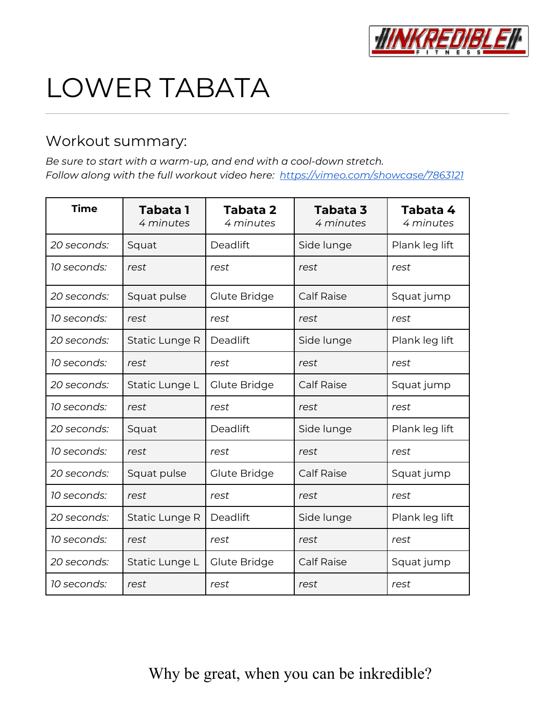

# LOWER TABATA

#### Workout summary:

*Be sure to start with a warm-up, and end with a cool-down stretch. Follow along with the full workout video here: <https://vimeo.com/showcase/7863121>*

| <b>Time</b> | <b>Tabata 1</b><br>4 minutes | Tabata 2<br>4 minutes | Tabata 3<br>4 minutes | Tabata 4<br>4 minutes |
|-------------|------------------------------|-----------------------|-----------------------|-----------------------|
| 20 seconds: | Squat                        | Deadlift              | Side lunge            | Plank leg lift        |
| 10 seconds: | rest                         | rest                  | rest                  | rest                  |
| 20 seconds: | Squat pulse                  | Glute Bridge          | <b>Calf Raise</b>     | Squat jump            |
| 10 seconds: | rest                         | rest                  | rest                  | rest                  |
| 20 seconds: | Static Lunge R               | Deadlift              | Side lunge            | Plank leg lift        |
| 10 seconds: | rest                         | rest                  | rest                  | rest                  |
| 20 seconds: | Static Lunge L               | Glute Bridge          | <b>Calf Raise</b>     | Squat jump            |
| 10 seconds: | rest                         | rest                  | rest                  | rest                  |
| 20 seconds: | Squat                        | Deadlift              | Side lunge            | Plank leg lift        |
| 10 seconds: | rest                         | rest                  | rest                  | rest                  |
| 20 seconds: | Squat pulse                  | Glute Bridge          | <b>Calf Raise</b>     | Squat jump            |
| 10 seconds: | rest                         | rest                  | rest                  | rest                  |
| 20 seconds: | Static Lunge R               | Deadlift              | Side lunge            | Plank leg lift        |
| 10 seconds: | rest                         | rest                  | rest                  | rest                  |
| 20 seconds: | Static Lunge L               | Glute Bridge          | <b>Calf Raise</b>     | Squat jump            |
| 10 seconds: | rest                         | rest                  | rest                  | rest                  |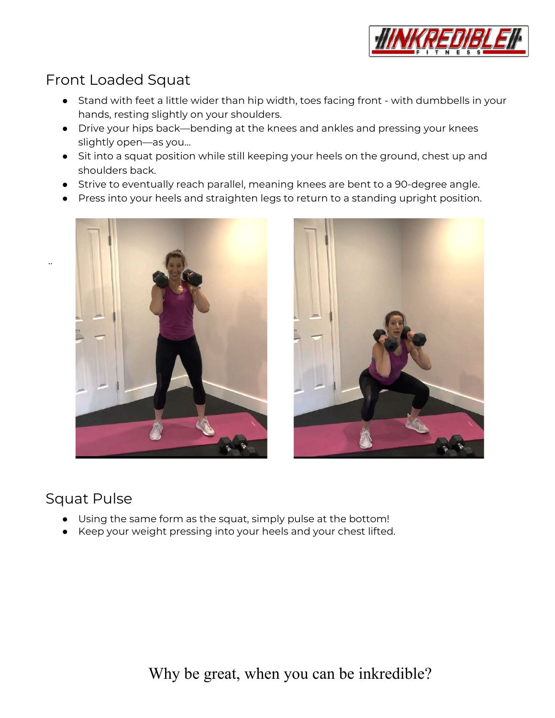

## Front Loaded Squat

- Stand with feet a little wider than hip width, toes facing front with dumbbells in your hands, resting slightly on your shoulders.
- Drive your hips back—bending at the knees and ankles and pressing your knees slightly open—as you…
- Sit into a squat position while still keeping your heels on the ground, chest up and shoulders back.
- Strive to eventually reach parallel, meaning knees are bent to a 90-degree angle.
- Press into your heels and straighten legs to return to a standing upright position.





#### Squat Pulse

..

- Using the same form as the squat, simply pulse at the bottom!
- Keep your weight pressing into your heels and your chest lifted.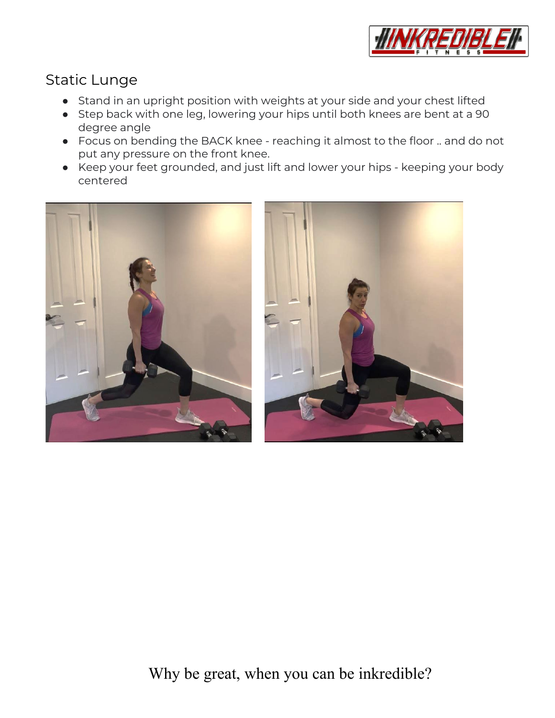

#### Static Lunge

- Stand in an upright position with weights at your side and your chest lifted
- Step back with one leg, lowering your hips until both knees are bent at a 90 degree angle
- Focus on bending the BACK knee reaching it almost to the floor .. and do not put any pressure on the front knee.
- Keep your feet grounded, and just lift and lower your hips keeping your body centered



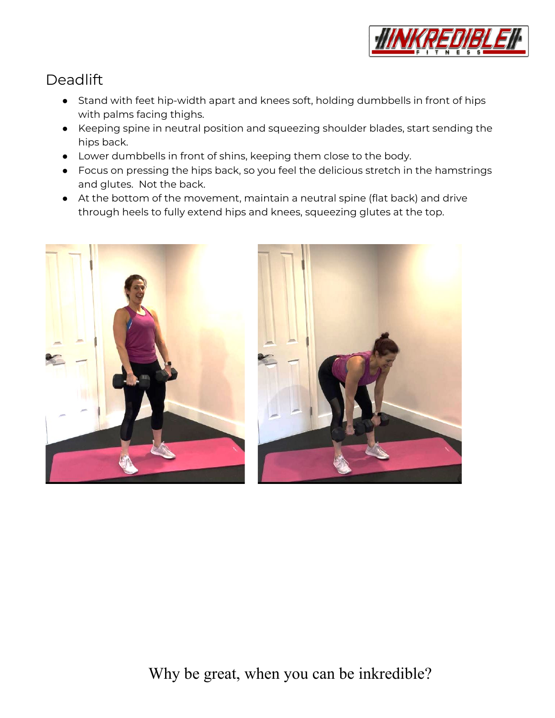

## **Deadlift**

- Stand with feet hip-width apart and knees soft, holding dumbbells in front of hips with palms facing thighs.
- Keeping spine in neutral position and squeezing shoulder blades, start sending the hips back.
- Lower dumbbells in front of shins, keeping them close to the body.
- Focus on pressing the hips back, so you feel the delicious stretch in the hamstrings and glutes. Not the back.
- At the bottom of the movement, maintain a neutral spine (flat back) and drive through heels to fully extend hips and knees, squeezing glutes at the top.



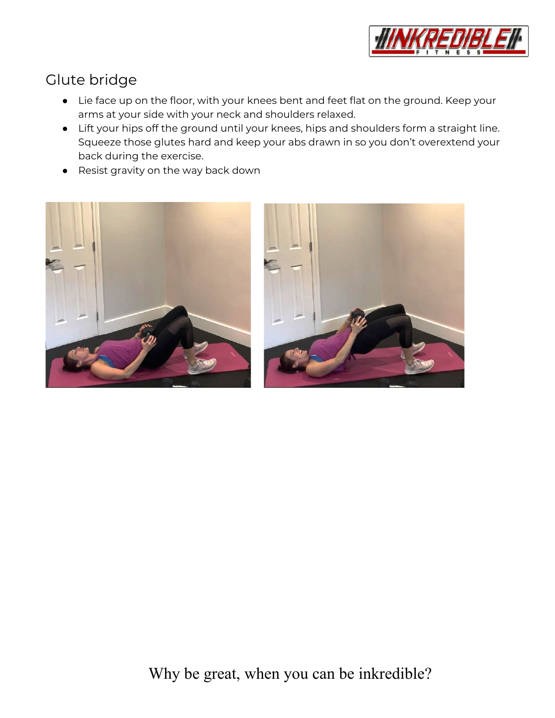

# Glute bridge

- Lie face up on the floor, with your knees bent and feet flat on the ground. Keep your arms at your side with your neck and shoulders relaxed.
- Lift your hips off the ground until your knees, hips and shoulders form a straight line. Squeeze those glutes hard and keep your abs drawn in so you don't overextend your back during the exercise.
- Resist gravity on the way back down

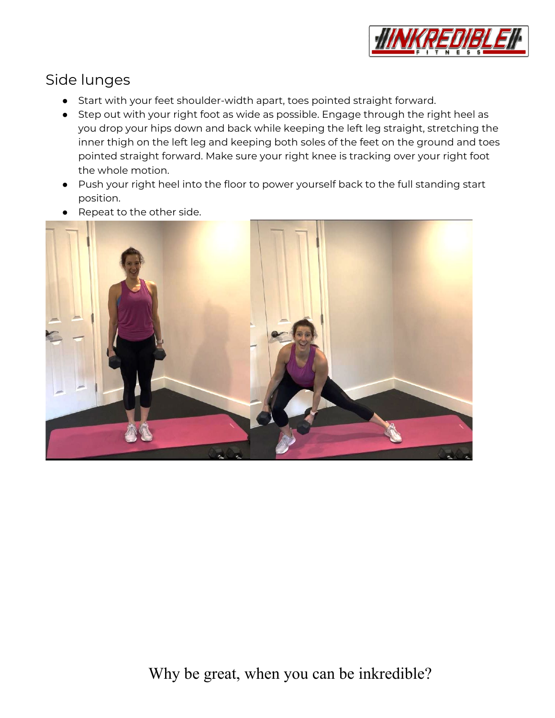

### Side lunges

- Start with your feet shoulder-width apart, toes pointed straight forward.
- Step out with your right foot as wide as possible. Engage through the right heel as you drop your hips down and back while keeping the left leg straight, stretching the inner thigh on the left leg and keeping both soles of the feet on the ground and toes pointed straight forward. Make sure your right knee is tracking over your right foot the whole motion.
- Push your right heel into the floor to power yourself back to the full standing start position.
- Repeat to the other side.

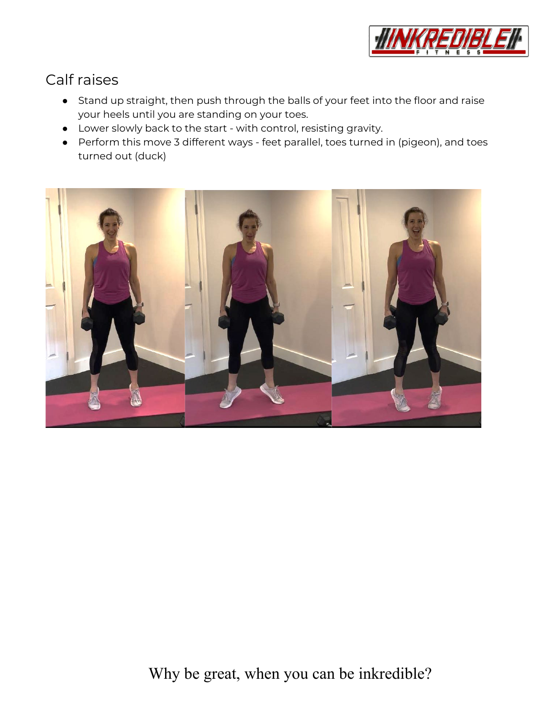

### Calf raises

- Stand up straight, then push through the balls of your feet into the floor and raise your heels until you are standing on your toes.
- Lower slowly back to the start with control, resisting gravity.
- Perform this move 3 different ways feet parallel, toes turned in (pigeon), and toes turned out (duck)

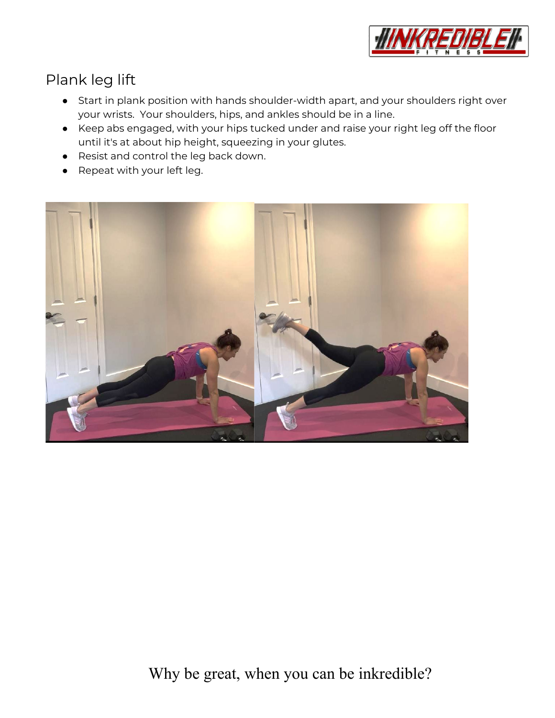

# Plank leg lift

- Start in plank position with hands shoulder-width apart, and your shoulders right over your wrists. Your shoulders, hips, and ankles should be in a line.
- Keep abs engaged, with your hips tucked under and raise your right leg off the floor until it's at about hip height, squeezing in your glutes.
- Resist and control the leg back down.
- Repeat with your left leg.